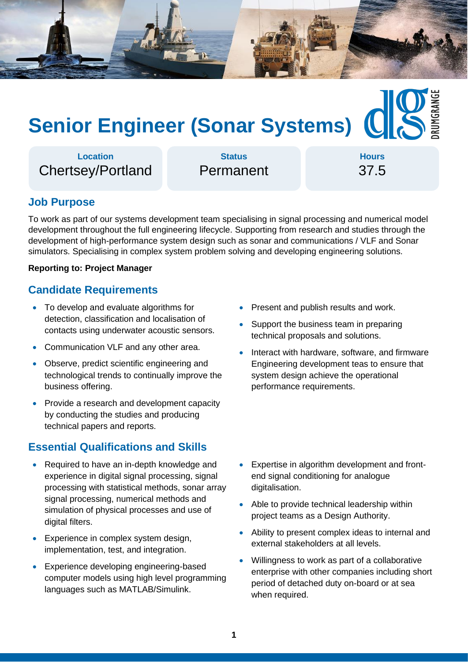

# **Senior Engineer (Sonar Systems)**

**Location** Chertsey/Portland

**Status** Permanent

**Hours** 37.5

## **Job Purpose**

To work as part of our systems development team specialising in signal processing and numerical model development throughout the full engineering lifecycle. Supporting from research and studies through the development of high-performance system design such as sonar and communications / VLF and Sonar simulators. Specialising in complex system problem solving and developing engineering solutions.

#### **Reporting to: Project Manager**

#### **Candidate Requirements**

- To develop and evaluate algorithms for detection, classification and localisation of contacts using underwater acoustic sensors.
- Communication VLF and any other area.
- Observe, predict scientific engineering and technological trends to continually improve the business offering.
- Provide a research and development capacity by conducting the studies and producing technical papers and reports.

#### **Essential Qualifications and Skills**

- Required to have an in-depth knowledge and experience in digital signal processing, signal processing with statistical methods, sonar array signal processing, numerical methods and simulation of physical processes and use of digital filters.
- Experience in complex system design, implementation, test, and integration.
- Experience developing engineering-based computer models using high level programming languages such as MATLAB/Simulink.
- Present and publish results and work.
- Support the business team in preparing technical proposals and solutions.
- Interact with hardware, software, and firmware Engineering development teas to ensure that system design achieve the operational performance requirements.

- Expertise in algorithm development and frontend signal conditioning for analogue digitalisation.
- Able to provide technical leadership within project teams as a Design Authority.
- Ability to present complex ideas to internal and external stakeholders at all levels.
- Willingness to work as part of a collaborative enterprise with other companies including short period of detached duty on-board or at sea when required.